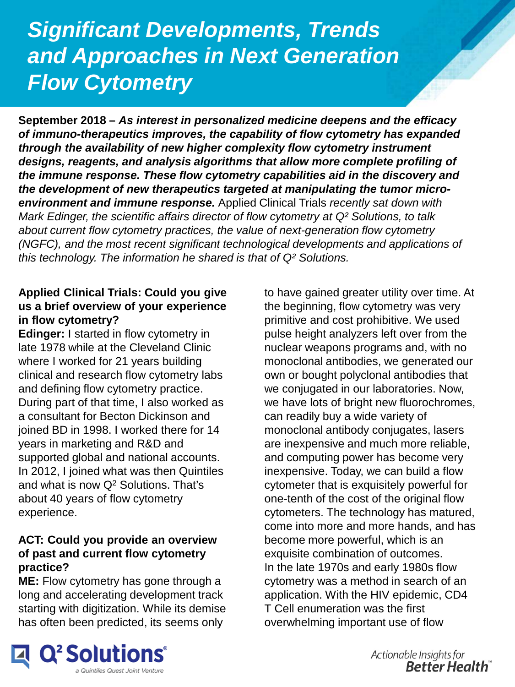# *Significant Developments, Trends and Approaches in Next Generation Flow Cytometry*

**September 2018 –** *As interest in personalized medicine deepens and the efficacy of immuno-therapeutics improves, the capability of flow cytometry has expanded through the availability of new higher complexity flow cytometry instrument designs, reagents, and analysis algorithms that allow more complete profiling of the immune response. These flow cytometry capabilities aid in the discovery and the development of new therapeutics targeted at manipulating the tumor microenvironment and immune response.* Applied Clinical Trials *recently sat down with Mark Edinger, the scientific affairs director of flow cytometry at Q² Solutions, to talk about current flow cytometry practices, the value of next-generation flow cytometry (NGFC), and the most recent significant technological developments and applications of this technology. The information he shared is that of Q² Solutions.* 

#### **Applied Clinical Trials: Could you give us a brief overview of your experience in flow cytometry?**

**Edinger:** I started in flow cytometry in late 1978 while at the Cleveland Clinic where I worked for 21 years building clinical and research flow cytometry labs and defining flow cytometry practice. During part of that time, I also worked as a consultant for Becton Dickinson and joined BD in 1998. I worked there for 14 years in marketing and R&D and supported global and national accounts. In 2012, I joined what was then Quintiles and what is now  $Q^2$  Solutions. That's about 40 years of flow cytometry experience.

## **ACT: Could you provide an overview of past and current flow cytometry practice?**

**ME:** Flow cytometry has gone through a long and accelerating development track starting with digitization. While its demise has often been predicted, its seems only

to have gained greater utility over time. At the beginning, flow cytometry was very primitive and cost prohibitive. We used pulse height analyzers left over from the nuclear weapons programs and, with no monoclonal antibodies, we generated our own or bought polyclonal antibodies that we conjugated in our laboratories. Now, we have lots of bright new fluorochromes, can readily buy a wide variety of monoclonal antibody conjugates, lasers are inexpensive and much more reliable, and computing power has become very inexpensive. Today, we can build a flow cytometer that is exquisitely powerful for one-tenth of the cost of the original flow cytometers. The technology has matured, come into more and more hands, and has become more powerful, which is an exquisite combination of outcomes. In the late 1970s and early 1980s flow cytometry was a method in search of an application. With the HIV epidemic, CD4 T Cell enumeration was the first overwhelming important use of flow



Actionable Insights for **Better Health**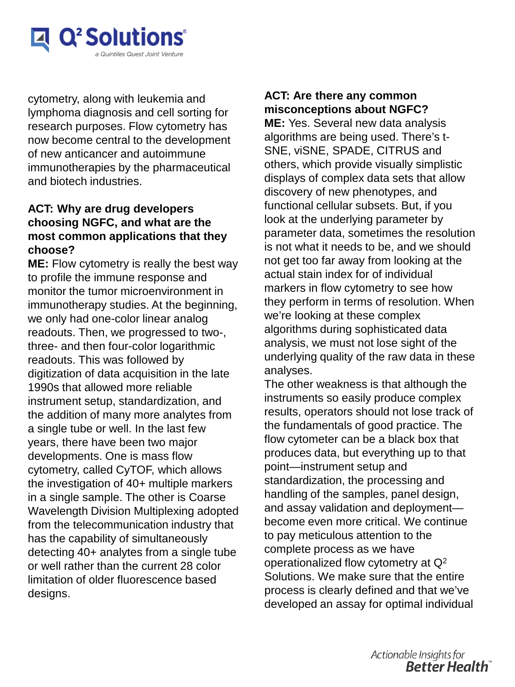

*Flow Cytometry* cytometry, along with leukemia and lymphoma diagnosis and cell sorting for research purposes. Flow cytometry has now become central to the development of new anticancer and autoimmune immunotherapies by the pharmaceutical and biotech industries.

## **ACT: Why are drug developers choosing NGFC, and what are the most common applications that they choose?**

**ME:** Flow cytometry is really the best way to profile the immune response and monitor the tumor microenvironment in immunotherapy studies. At the beginning, we only had one-color linear analog readouts. Then, we progressed to two-, three- and then four-color logarithmic readouts. This was followed by digitization of data acquisition in the late 1990s that allowed more reliable instrument setup, standardization, and the addition of many more analytes from a single tube or well. In the last few years, there have been two major developments. One is mass flow cytometry, called CyTOF, which allows the investigation of 40+ multiple markers in a single sample. The other is Coarse Wavelength Division Multiplexing adopted from the telecommunication industry that has the capability of simultaneously detecting 40+ analytes from a single tube or well rather than the current 28 color limitation of older fluorescence based designs.

#### **ACT: Are there any common misconceptions about NGFC?**

**ME:** Yes. Several new data analysis algorithms are being used. There's t-SNE, viSNE, SPADE, CITRUS and others, which provide visually simplistic displays of complex data sets that allow discovery of new phenotypes, and functional cellular subsets. But, if you look at the underlying parameter by parameter data, sometimes the resolution is not what it needs to be, and we should not get too far away from looking at the actual stain index for of individual markers in flow cytometry to see how they perform in terms of resolution. When we're looking at these complex algorithms during sophisticated data analysis, we must not lose sight of the underlying quality of the raw data in these analyses.

The other weakness is that although the instruments so easily produce complex results, operators should not lose track of the fundamentals of good practice. The flow cytometer can be a black box that produces data, but everything up to that point—instrument setup and standardization, the processing and handling of the samples, panel design, and assay validation and deployment become even more critical. We continue to pay meticulous attention to the complete process as we have operationalized flow cytometry at  $\mathsf{Q}^2$ Solutions. We make sure that the entire process is clearly defined and that we've developed an assay for optimal individual

> Actionable Insights for **Better Health**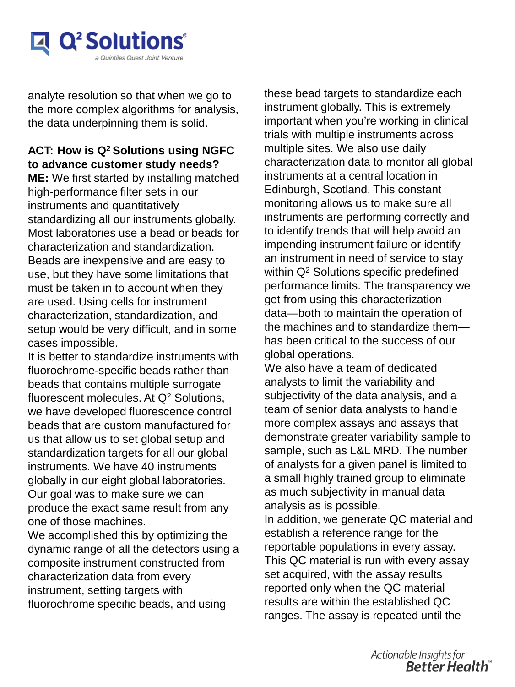

*Flow Cytometry* analyte resolution so that when we go to the more complex algorithms for analysis, the data underpinning them is solid.

#### **ACT: How is Q2 Solutions using NGFC to advance customer study needs?**

**ME:** We first started by installing matched high-performance filter sets in our instruments and quantitatively standardizing all our instruments globally. Most laboratories use a bead or beads for characterization and standardization. Beads are inexpensive and are easy to use, but they have some limitations that must be taken in to account when they are used. Using cells for instrument characterization, standardization, and setup would be very difficult, and in some cases impossible.

It is better to standardize instruments with fluorochrome-specific beads rather than beads that contains multiple surrogate fluorescent molecules. At Q2 Solutions, we have developed fluorescence control beads that are custom manufactured for us that allow us to set global setup and standardization targets for all our global instruments. We have 40 instruments globally in our eight global laboratories. Our goal was to make sure we can produce the exact same result from any one of those machines.

We accomplished this by optimizing the dynamic range of all the detectors using a composite instrument constructed from characterization data from every instrument, setting targets with fluorochrome specific beads, and using

these bead targets to standardize each instrument globally. This is extremely important when you're working in clinical trials with multiple instruments across multiple sites. We also use daily characterization data to monitor all global instruments at a central location in Edinburgh, Scotland. This constant monitoring allows us to make sure all instruments are performing correctly and to identify trends that will help avoid an impending instrument failure or identify an instrument in need of service to stay within Q<sup>2</sup> Solutions specific predefined performance limits. The transparency we get from using this characterization data—both to maintain the operation of the machines and to standardize them has been critical to the success of our global operations.

We also have a team of dedicated analysts to limit the variability and subjectivity of the data analysis, and a team of senior data analysts to handle more complex assays and assays that demonstrate greater variability sample to sample, such as L&L MRD. The number of analysts for a given panel is limited to a small highly trained group to eliminate as much subjectivity in manual data analysis as is possible.

In addition, we generate QC material and establish a reference range for the reportable populations in every assay. This QC material is run with every assay set acquired, with the assay results reported only when the QC material results are within the established QC ranges. The assay is repeated until the